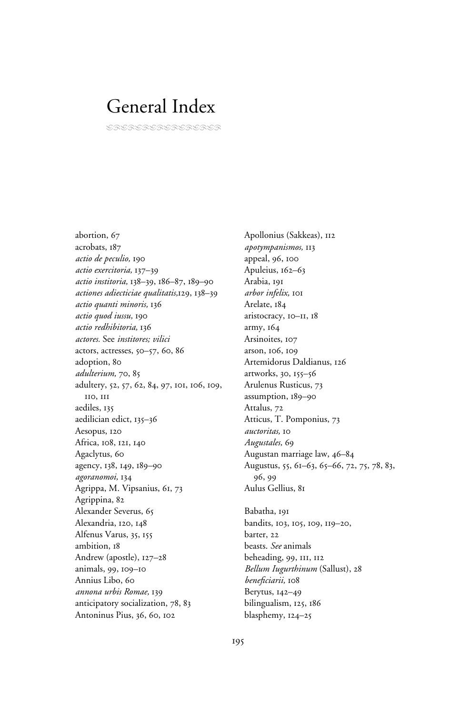# General Index

CRLIADRIRDAIRI

abortion, 67 acrobats, 187 *actio de peculio,* 190 *actio exercitoria,* 137–39 *actio institoria,* 138–39, 186–87, 189–90 *actiones adiecticiae qualitatis,*129, 138–39 *actio quanti minoris,* 136 *actio quod iussu,* 190 *actio redhibitoria,* 136 *actores.* See *institores; vilici* actors, actresses, 50–57, 60, 86 adoption, 80 *adulterium,* 70, 85 adultery, 52, 57, 62, 84, 97, 101, 106, 109, 110, 111 aediles, 135 aedilician edict, 135–36 Aesopus, 120 Africa, 108, 121, 140 Agaclytus, 60 agency, 138, 149, 189–90 *agoranomoi,* 134 Agrippa, M. Vipsanius, 61, 73 Agrippina, 82 Alexander Severus, 65 Alexandria, 120, 148 Alfenus Varus, 35, 155 ambition, 18 Andrew (apostle), 127–28 animals, 99, 109–10 Annius Libo, 60 *annona urbis Romae,* 139 anticipatory socialization, 78, 83 Antoninus Pius, 36, 60, 102

Apollonius (Sakkeas), 112 *apotympanismos,* 113 appeal, 96, 100 Apuleius, 162–63 Arabia, 191 *arbor infelix,* 101 Arelate, 184 aristocracy, 10–11, 18 army, 164 Arsinoites, 107 arson, 106, 109 Artemidorus Daldianus, 126 artworks, 30, 155–56 Arulenus Rusticus, 73 assumption, 189–90 Attalus, 72 Atticus, T. Pomponius, 73 *auctoritas,* 10 *Augustales,* 69 Augustan marriage law, 46–84 Augustus, 55, 61–63, 65–66, 72, 75, 78, 83, 96, 99 Aulus Gellius, 81

Babatha, 191 bandits, 103, 105, 109, 119–20, barter, 22 beasts. *See* animals beheading, 99, 111, 112 *Bellum Iugurthinum* (Sallust), 28 beneficiarii, 108 Berytus, 142–49 bilingualism, 125, 186 blasphemy, 124–25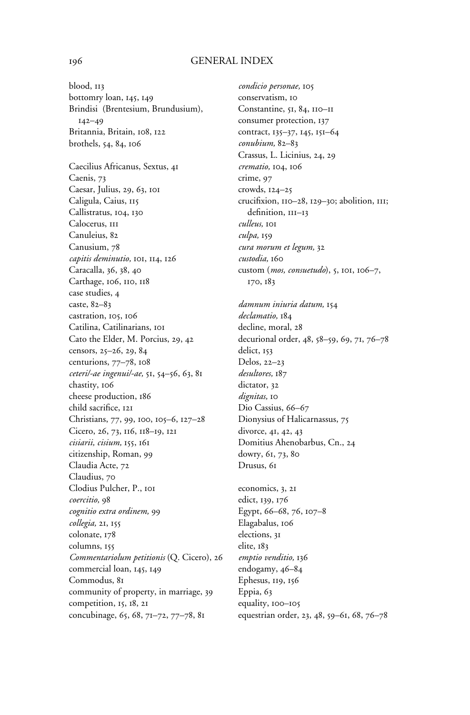## 196 GENERAL INDEX

blood, 113 bottomry loan, 145, 149 Brindisi (Brentesium, Brundusium), 142–49 Britannia, Britain, 108, 122 brothels, 54, 84, 106 Caecilius Africanus, Sextus, 41 Caenis, 73 Caesar, Julius, 29, 63, 101 Caligula, Caius, 115 Callistratus, 104, 130 Calocerus, 111 Canuleius, 82 Canusium, 78 *capitis deminutio,* 101, 114, 126 Caracalla, 36, 38, 40 Carthage, 106, 110, 118 case studies, 4 caste, 82–83 castration, 105, 106 Catilina, Catilinarians, 101 Cato the Elder, M. Porcius, 29, 42 censors, 25–26, 29, 84 centurions, 77–78, 108 *ceteri/-ae ingenui/-ae,* 51, 54–56, 63, 81 chastity, 106 cheese production, 186 child sacrifice, 121 Christians, 77, 99, 100, 105–6, 127–28 Cicero, 26, 73, 116, 118–19, 121 *cisiarii, cisium,* 155, 161 citizenship, Roman, 99 Claudia Acte, 72 Claudius, 70 Clodius Pulcher, P., 101 *coercitio,* 98 *cognitio extra ordinem,* 99 *collegia,* 21, 155 colonate, 178 columns, 155 *Commentariolum petitionis* (Q. Cicero), 26 commercial loan, 145, 149 Commodus, 81 community of property, in marriage, 39 competition, 15, 18, 21 concubinage, 65, 68, 71–72, 77–78, 81

*condicio personae,* 105 conservatism, 10 Constantine, 51, 84, 110–11 consumer protection, 137 contract, 135–37, 145, 151–64 *conubium,* 82–83 Crassus, L. Licinius, 24, 29 *crematio,* 104, 106 crime, 97 crowds, 124–25 crucifixion, 110–28, 129–30; abolition, 111; definition, III-13 *culleus,* 101 *culpa,* 159 *cura morum et legum,* 32 *custodia,* 160 custom (*mos, consuetudo*), 5, 101, 106–7, 170, 183

*damnum iniuria datum,* 154 *declamatio,* 184 decline, moral, 28 decurional order, 48, 58–59, 69, 71, 76–78 delict, 153 Delos, 22–23 *desultores,* 187 dictator, 32 *dignitas,* 10 Dio Cassius, 66–67 Dionysius of Halicarnassus, 75 divorce, 41, 42, 43 Domitius Ahenobarbus, Cn., 24 dowry, 61, 73, 80 Drusus, 61

economics, 3, 21 edict, 139, 176 Egypt, 66–68, 76, 107–8 Elagabalus, 106 elections, 31 elite, 183 *emptio venditio,* 136 endogamy, 46–84 Ephesus, 119, 156 Eppia, 63 equality, 100–105 equestrian order, 23, 48, 59–61, 68, 76–78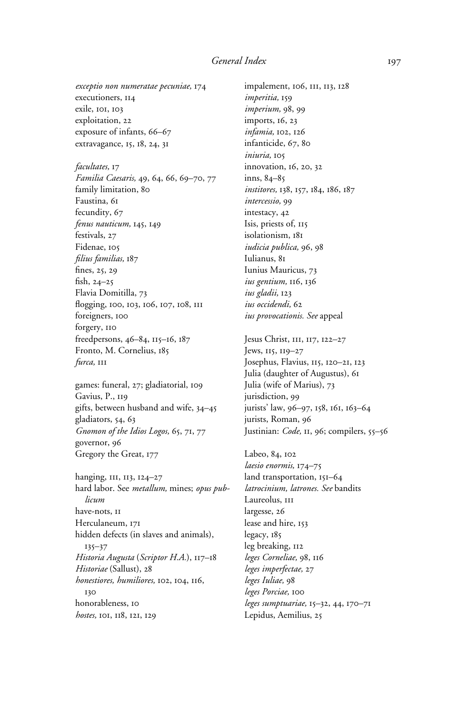*exceptio non numeratae pecuniae,* 174 executioners, 114 exile, 101, 103 exploitation, 22 exposure of infants, 66–67 extravagance, 15, 18, 24, 31

*facultates,* 17 *Familia Caesaris,* 49, 64, 66, 69–70, 77 family limitation, 80 Faustina, 61 fecundity, 67 *fenus nauticum,* 145, 149 festivals, 27 Fidenae, 105 *‹lius familias,* 187 fines,  $25, 29$ fish,  $24-25$ Flavia Domitilla, 73 flogging, 100, 103, 106, 107, 108, 111 foreigners, 100 forgery, 110 freedpersons, 46–84, 115–16, 187 Fronto, M. Cornelius, 185 *furca,* 111

games: funeral, 27; gladiatorial, 109 Gavius, P., 119 gifts, between husband and wife, 34–45 gladiators, 54, 63 *Gnomon of the Idios Logos,* 65, 71, 77 governor, 96 Gregory the Great, 177

hanging, 111, 113, 124–27 hard labor. See *metallum,* mines; *opus publicum* have-nots, 11 Herculaneum, 171 hidden defects (in slaves and animals), 135–37 *Historia Augusta* (*Scriptor H.A.*), 117–18 *Historiae* (Sallust), 28 *honestiores, humiliores,* 102, 104, 116, 130 honorableness, 10 *hostes,* 101, 118, 121, 129

impalement, 106, 111, 113, 128 *imperitia,* 159 *imperium,* 98, 99 imports, 16, 23 *infamia,* 102, 126 infanticide, 67, 80 *iniuria,* 105 innovation, 16, 20, 32 inns, 84–85 *institores,* 138, 157, 184, 186, 187 *intercessio,* 99 intestacy, 42 Isis, priests of, 115 isolationism, 181 *iudicia publica,* 96, 98 Iulianus, 81 Iunius Mauricus, 73 *ius gentium,* 116, 136 *ius gladii,* 123 *ius occidendi,* 62 *ius provocationis. See* appeal

Jesus Christ, 111, 117, 122–27 Jews, 115, 119–27 Josephus, Flavius, 115, 120–21, 123 Julia (daughter of Augustus), 61 Julia (wife of Marius), 73 jurisdiction, 99 jurists' law, 96–97, 158, 161, 163–64 jurists, Roman, 96 Justinian: *Code*, 11, 96; compilers, 55-56

Labeo, 84, 102 *laesio enormis,* 174–75 land transportation, 151–64 *latrocinium, latrones. See* bandits Laureolus, III largesse, 26 lease and hire, 153 legacy, 185 leg breaking, 112 *leges Corneliae,* 98, 116 *leges imperfectae,* 27 *leges Iuliae,* 98 *leges Porciae,* 100 *leges sumptuariae,* 15–32, 44, 170–71 Lepidus, Aemilius, 25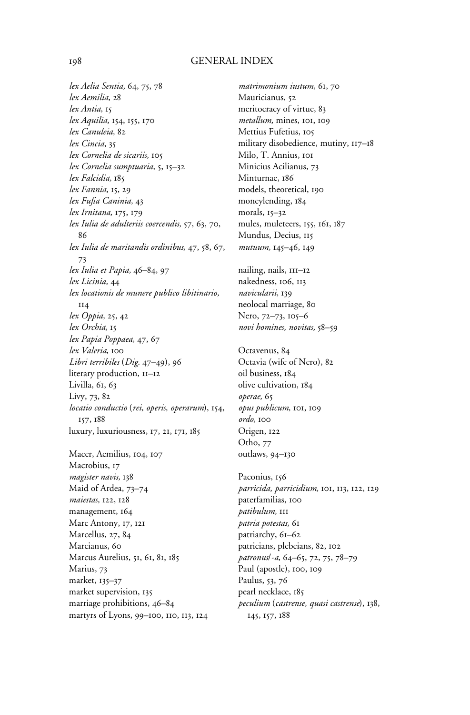## 198 GENERAL INDEX

*lex Aelia Sentia,* 64, 75, 78 *lex Aemilia,* 28 *lex Antia,* 15 *lex Aquilia,* 154, 155, 170 *lex Canuleia,* 82 *lex Cincia,* 35 *lex Cornelia de sicariis,* 105 *lex Cornelia sumptuaria,* 5, 15–32 *lex Falcidia,* 185 *lex Fannia,* 15, 29 *lex Fufia Caninia*, 43 *lex Irnitana,* 175, 179 *lex Iulia de adulteriis coercendis,* 57, 63, 70, 86 *lex Iulia de maritandis ordinibus,* 47, 58, 67, 73 *lex Iulia et Papia,* 46–84, 97 *lex Licinia,* 44 *lex locationis de munere publico libitinario,* 114 *lex Oppia,* 25, 42 *lex Orchia,* 15 *lex Papia Poppaea,* 47, 67 *lex Valeria,* 100 *Libri terribiles* (*Dig.* 47–49), 96 literary production, 11–12 Livilla, 61, 63 Livy, 73, 82 *locatio conductio* (*rei, operis, operarum*), 154, 157, 188 luxury, luxuriousness, 17, 21, 171, 185 Macer, Aemilius, 104, 107 Macrobius, 17

*magister navis,* 138 Maid of Ardea, 73–74 *maiestas,* 122, 128 management, 164 Marc Antony, 17, 121 Marcellus, 27, 84 Marcianus, 60 Marcus Aurelius, 51, 61, 81, 185 Marius, 73 market, 135–37 market supervision, 135 marriage prohibitions, 46–84 martyrs of Lyons, 99–100, 110, 113, 124 *matrimonium iustum,* 61, 70 Mauricianus, 52 meritocracy of virtue, 83 *metallum,* mines, 101, 109 Mettius Fufetius, 105 military disobedience, mutiny, 117–18 Milo, T. Annius, 101 Minicius Acilianus, 73 Minturnae, 186 models, theoretical, 190 moneylending, 184 morals, 15–32 mules, muleteers, 155, 161, 187 Mundus, Decius, 115 *mutuum,* 145–46, 149

nailing, nails, 111–12 nakedness, 106, 113 *navicularii,* 139 neolocal marriage, 80 Nero, 72–73, 105–6 *novi homines, novitas,* 58–59

Octavenus, 84 Octavia (wife of Nero), 82 oil business, 184 olive cultivation, 184 *operae,* 65 *opus publicum,* 101, 109 *ordo,* 100 Origen, 122 Otho, 77 outlaws, 94–130

Paconius, 156 *parricida, parricidium,* 101, 113, 122, 129 paterfamilias, 100 *patibulum,* 111 *patria potestas,* 61 patriarchy, 61–62 patricians, plebeians, 82, 102 *patronus*/*-a,* 64–65, 72, 75, 78–79 Paul (apostle), 100, 109 Paulus, 53, 76 pearl necklace, 185 *peculium* (*castrense, quasi castrense*), 138, 145, 157, 188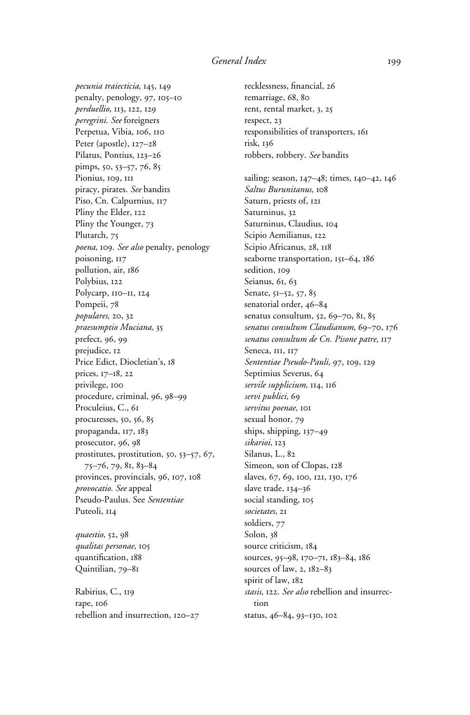*pecunia traiecticia,* 145, 149 penalty, penology, 97, 105–10 *perduellio,* 113, 122, 129 *peregrini. See* foreigners Perpetua, Vibia, 106, 110 Peter (apostle), 127–28 Pilatus, Pontius, 123–26 pimps, 50, 53–57, 76, 85 Pionius, 109, 111 piracy, pirates. *See* bandits Piso, Cn. Calpurnius, 117 Pliny the Elder, 122 Pliny the Younger, 73 Plutarch, 75 *poena,* 109. *See also* penalty, penology poisoning, 117 pollution, air, 186 Polybius, 122 Polycarp, 110–11, 124 Pompeii, 78 *populares,* 20, 32 *praesumptio Muciana,* 35 prefect, 96, 99 prejudice, 12 Price Edict, Diocletian's, 18 prices, 17–18, 22 privilege, 100 procedure, criminal, 96, 98–99 Proculeius, C., 61 procuresses, 50, 56, 85 propaganda, 117, 183 prosecutor, 96, 98 prostitutes, prostitution, 50, 53–57, 67, 75–76, 79, 81, 83–84 provinces, provincials, 96, 107, 108 *provocatio. See* appeal Pseudo-Paulus. See *Sententiae* Puteoli, 114

*quaestio,* 52, 98 *qualitas personae,* 105 quantification, 188 Quintilian, 79–81

Rabirius, C., 119 rape, 106 rebellion and insurrection, 120–27

recklessness, financial, 26 remarriage, 68, 80 rent, rental market, 3, 25 respect, 23 responsibilities of transporters, 161 risk, 136 robbers, robbery. *See* bandits sailing: season, 147–48; times, 140–42, 146 *Saltus Burunitanus,* 108 Saturn, priests of, 121 Saturninus, 32 Saturninus, Claudius, 104 Scipio Aemilianus, 122 Scipio Africanus, 28, 118 seaborne transportation, 151-64, 186 sedition, 109 Seianus, 61, 63 Senate, 51–52, 57, 85 senatorial order, 46–84 senatus consultum, 52, 69–70, 81, 85 *senatus consultum Claudianum,* 69–70, 176 *senatus consultum de Cn. Pisone patre,* 117 Seneca, III, II7 *Sententiae Pseudo-Pauli,* 97, 109, 129 Septimius Severus, 64 *servile supplicium,* 114, 116 *servi publici,* 69 *servitus poenae,* 101 sexual honor, 79 ships, shipping, 137–49 *sikarioi,* 123 Silanus, L., 82 Simeon, son of Clopas, 128 slaves, 67, 69, 100, 121, 130, 176 slave trade, 134–36 social standing, 105 *societates,* 21 soldiers, 77 Solon, 38 source criticism, 184 sources, 95–98, 170–71, 183–84, 186 sources of law, 2, 182–83 spirit of law, 182 *stasis,* 122. *See also* rebellion and insurrection status, 46–84, 93–130, 102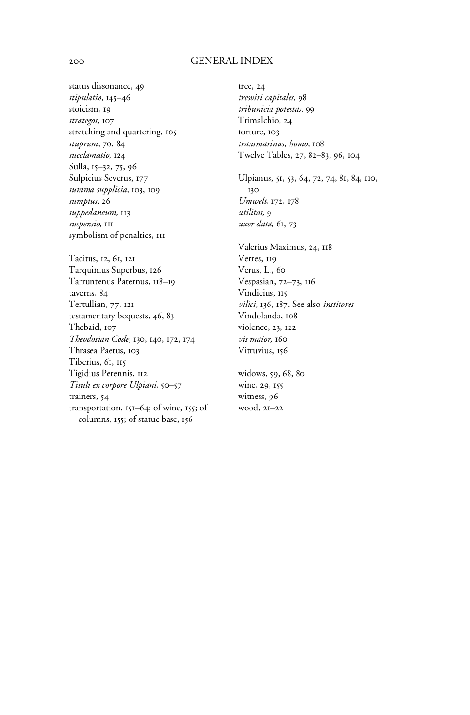### 200 GENERAL INDEX

status dissonance, 49 *stipulatio,* 145–46 stoicism, 19 *strategos,* 107 stretching and quartering, 105 *stuprum,* 70, 84 *succlamatio,* 124 Sulla, 15–32, 75, 96 Sulpicius Severus, 177 *summa supplicia,* 103, 109 *sumptus,* 26 *suppedaneum,* 113 *suspensio,* 111 symbolism of penalties, 111

Tacitus, 12, 61, 121 Tarquinius Superbus, 126 Tarruntenus Paternus, 118–19 taverns, 84 Tertullian, 77, 121 testamentary bequests, 46, 83 Thebaid, 107 *Theodosian Code,* 130, 140, 172, 174 Thrasea Paetus, 103 Tiberius, 61, 115 Tigidius Perennis, 112 *Tituli ex corpore Ulpiani,* 50–57 trainers, 54 transportation, 151–64; of wine, 155; of columns, 155; of statue base, 156

tree, 24 *tresviri capitales,* 98 *tribunicia potestas,* 99 Trimalchio, 24 torture, 103 *transmarinus, homo,* 108 Twelve Tables, 27, 82–83, 96, 104

Ulpianus, 51, 53, 64, 72, 74, 81, 84, 110, 130 *Umwelt,* 172, 178 *utilitas,* 9 *uxor data,* 61, 73

Valerius Maximus, 24, 118 Verres, 119 Verus, L., 60 Vespasian, 72–73, 116 Vindicius, 115 *vilici,* 136, 187. See also *institores* Vindolanda, 108 violence, 23, 122 *vis maior,* 160 Vitruvius, 156

widows, 59, 68, 80 wine, 29, 155 witness, 96 wood, 21–22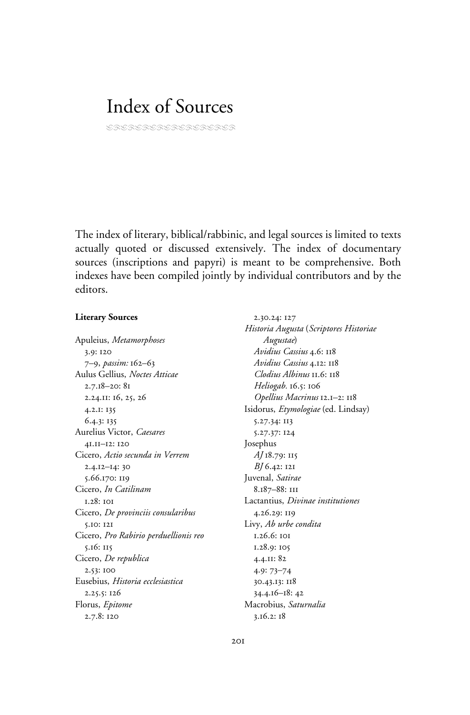# Index of Sources

LRDALRIRDRIRDRIRD

The index of literary, biblical/rabbinic, and legal sources is limited to texts actually quoted or discussed extensively. The index of documentary sources (inscriptions and papyri) is meant to be comprehensive. Both indexes have been compiled jointly by individual contributors and by the editors.

### **Literary Sources**

Apuleius, *Metamorphoses* 3.9: 120 7–9, *passim:* 162–63 Aulus Gellius, *Noctes Atticae* 2.7.18–20: 81 2.24.11: 16, 25, 26 4.2.1: 135 6.4.3: 135 Aurelius Victor, *Caesares* 41.11–12: 120 Cicero, *Actio secunda in Verrem* 2.4.12–14: 30 5.66.170: 119 Cicero, *In Catilinam* 1.28: 101 Cicero, *De provinciis consularibus* 5.10: 121 Cicero, *Pro Rabirio perduellionis reo* 5.16: 115 Cicero, *De republica* 2.53: 100 Eusebius, *Historia ecclesiastica* 2.25.5: 126 Florus, *Epitome* 2.7.8: 120

2.30.24: 127 *Historia Augusta* (*Scriptores Historiae Augustae*) *Avidius Cassius* 4.6: 118 *Avidius Cassius* 4.12: 118 *Clodius Albinus* 11.6: 118 *Heliogab.* 16.5: 106 *Opellius Macrinus* 12.1–2: 118 Isidorus, *Etymologiae* (ed. Lindsay) 5.27.34: 113 5.27.37: 124 Josephus *AJ* 18.79: 115 *BJ* 6.42: 121 Juvenal, *Satirae* 8.187–88: 111 Lactantius, *Divinae institutiones* 4.26.29: 119 Livy, *Ab urbe condita* 1.26.6: 101 1.28.9: 105 4.4.11: 82 4.9: 73–74 30.43.13: 118 34.4.16–18: 42 Macrobius, *Saturnalia* 3.16.2: 18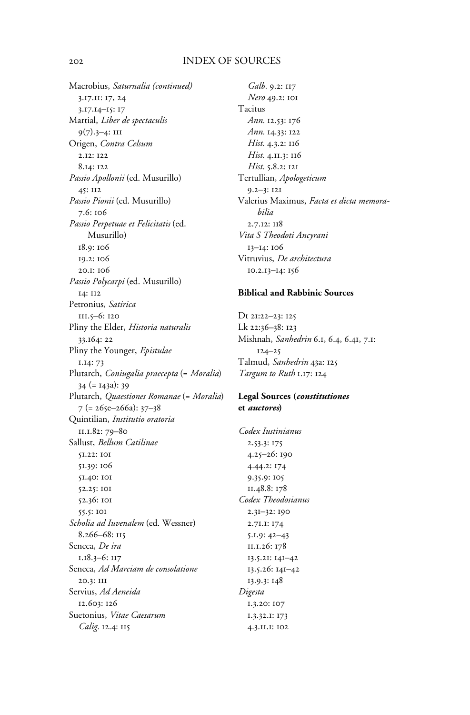## 202 INDEX OF SOURCES

Macrobius, *Saturnalia (continued)* 3.17.11: 17, 24 3.17.14–15: 17 Martial, *Liber de spectaculis* 9(7).3–4: 111 Origen, *Contra Celsum* 2.12: 122 8.14: 122 *Passio Apollonii* (ed. Musurillo) 45: 112 *Passio Pionii* (ed. Musurillo) 7.6: 106 *Passio Perpetuae et Felicitatis* (ed. Musurillo) 18.9: 106 19.2: 106 20.1: 106 *Passio Polycarpi* (ed. Musurillo) 14: 112 Petronius, *Satirica* 111.5–6: 120 Pliny the Elder, *Historia naturalis* 33.164: 22 Pliny the Younger, *Epistulae* 1.14: 73 Plutarch, *Coniugalia praecepta* (= *Moralia*) 34 (= 143a): 39 Plutarch, *Quaestiones Romanae* (= *Moralia*) 7 (= 265e–266a): 37–38 Quintilian, *Institutio oratoria* 11.1.82: 79–80 Sallust, *Bellum Catilinae* 51.22: 101 51.39: 106 51.40: 101 52.25: 101 52.36: 101 55.5: 101 *Scholia ad Iuvenalem* (ed. Wessner) 8.266–68: 115 Seneca, *De ira* 1.18.3–6: 117 Seneca, *Ad Marciam de consolatione* 20.3: 111 Servius, *Ad Aeneida* 12.603: 126 Suetonius, *Vitae Caesarum Calig.* 12.4: 115

*Galb.* 9.2: 117 *Nero* 49.2: 101 Tacitus *Ann.* 12.53: 176 *Ann.* 14.33: 122 *Hist.* 4.3.2: 116 *Hist.* 4.11.3: 116 *Hist.* 5.8.2: 121 Tertullian, *Apologeticum* 9.2–3: 121 Valerius Maximus, *Facta et dicta memorabilia* 2.7.12: 118 *Vita S Theodoti Ancyrani* 13–14: 106 Vitruvius, *De architectura* 10.2.13–14: 156

## **Biblical and Rabbinic Sources**

Dt 21:22–23: 125 Lk 22:36–38: 123 Mishnah, *Sanhedrin* 6.1, 6.4, 6.41, 7.1: 124–25 Talmud, *Sanhedrin* 43a: 125 *Targum to Ruth* 1.17: 124

## **Legal Sources (***constitutiones* **et** *auctores***)**

*Codex Iustinianus* 2.53.3: 175 4.25–26: 190 4.44.2: 174 9.35.9: 105 11.48.8: 178 *Codex Theodosianus* 2.31–32: 190 2.71.1: 174 5.1.9: 42–43 11.1.26: 178 13.5.21: 141–42 13.5.26: 141–42 13.9.3: 148 *Digesta* 1.3.20: 107 1.3.32.1: 173 4.3.11.1: 102